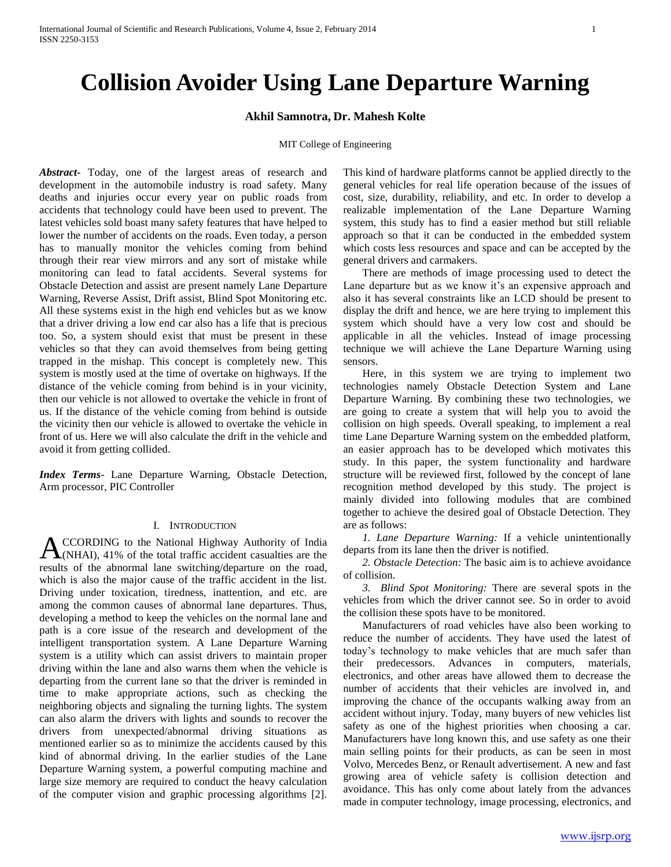# **Collision Avoider Using Lane Departure Warning**

## **Akhil Samnotra, Dr. Mahesh Kolte**

#### MIT College of Engineering

*Abstract***-** Today, one of the largest areas of research and development in the automobile industry is road safety. Many deaths and injuries occur every year on public roads from accidents that technology could have been used to prevent. The latest vehicles sold boast many safety features that have helped to lower the number of accidents on the roads. Even today, a person has to manually monitor the vehicles coming from behind through their rear view mirrors and any sort of mistake while monitoring can lead to fatal accidents. Several systems for Obstacle Detection and assist are present namely Lane Departure Warning, Reverse Assist, Drift assist, Blind Spot Monitoring etc. All these systems exist in the high end vehicles but as we know that a driver driving a low end car also has a life that is precious too. So, a system should exist that must be present in these vehicles so that they can avoid themselves from being getting trapped in the mishap. This concept is completely new. This system is mostly used at the time of overtake on highways. If the distance of the vehicle coming from behind is in your vicinity, then our vehicle is not allowed to overtake the vehicle in front of us. If the distance of the vehicle coming from behind is outside the vicinity then our vehicle is allowed to overtake the vehicle in front of us. Here we will also calculate the drift in the vehicle and avoid it from getting collided.

*Index Terms*- Lane Departure Warning, Obstacle Detection, Arm processor, PIC Controller

## I. INTRODUCTION

CCORDING to the National Highway Authority of India ACCORDING to the National Highway Authority of India<br>
(NHAI), 41% of the total traffic accident casualties are the results of the abnormal lane switching/departure on the road, which is also the major cause of the traffic accident in the list. Driving under toxication, tiredness, inattention, and etc. are among the common causes of abnormal lane departures. Thus, developing a method to keep the vehicles on the normal lane and path is a core issue of the research and development of the intelligent transportation system. A Lane Departure Warning system is a utility which can assist drivers to maintain proper driving within the lane and also warns them when the vehicle is departing from the current lane so that the driver is reminded in time to make appropriate actions, such as checking the neighboring objects and signaling the turning lights. The system can also alarm the drivers with lights and sounds to recover the drivers from unexpected/abnormal driving situations as mentioned earlier so as to minimize the accidents caused by this kind of abnormal driving. In the earlier studies of the Lane Departure Warning system, a powerful computing machine and large size memory are required to conduct the heavy calculation of the computer vision and graphic processing algorithms [2].

This kind of hardware platforms cannot be applied directly to the general vehicles for real life operation because of the issues of cost, size, durability, reliability, and etc. In order to develop a realizable implementation of the Lane Departure Warning system, this study has to find a easier method but still reliable approach so that it can be conducted in the embedded system which costs less resources and space and can be accepted by the general drivers and carmakers.

 There are methods of image processing used to detect the Lane departure but as we know it's an expensive approach and also it has several constraints like an LCD should be present to display the drift and hence, we are here trying to implement this system which should have a very low cost and should be applicable in all the vehicles. Instead of image processing technique we will achieve the Lane Departure Warning using sensors.

 Here, in this system we are trying to implement two technologies namely Obstacle Detection System and Lane Departure Warning. By combining these two technologies, we are going to create a system that will help you to avoid the collision on high speeds. Overall speaking, to implement a real time Lane Departure Warning system on the embedded platform, an easier approach has to be developed which motivates this study. In this paper, the system functionality and hardware structure will be reviewed first, followed by the concept of lane recognition method developed by this study. The project is mainly divided into following modules that are combined together to achieve the desired goal of Obstacle Detection. They are as follows:

 *1. Lane Departure Warning:* If a vehicle unintentionally departs from its lane then the driver is notified.

 *2. Obstacle Detection:* The basic aim is to achieve avoidance of collision.

 *3. Blind Spot Monitoring:* There are several spots in the vehicles from which the driver cannot see. So in order to avoid the collision these spots have to be monitored.

 Manufacturers of road vehicles have also been working to reduce the number of accidents. They have used the latest of today's technology to make vehicles that are much safer than their predecessors. Advances in computers, materials, electronics, and other areas have allowed them to decrease the number of accidents that their vehicles are involved in, and improving the chance of the occupants walking away from an accident without injury. Today, many buyers of new vehicles list safety as one of the highest priorities when choosing a car. Manufacturers have long known this, and use safety as one their main selling points for their products, as can be seen in most Volvo, Mercedes Benz, or Renault advertisement. A new and fast growing area of vehicle safety is collision detection and avoidance. This has only come about lately from the advances made in computer technology, image processing, electronics, and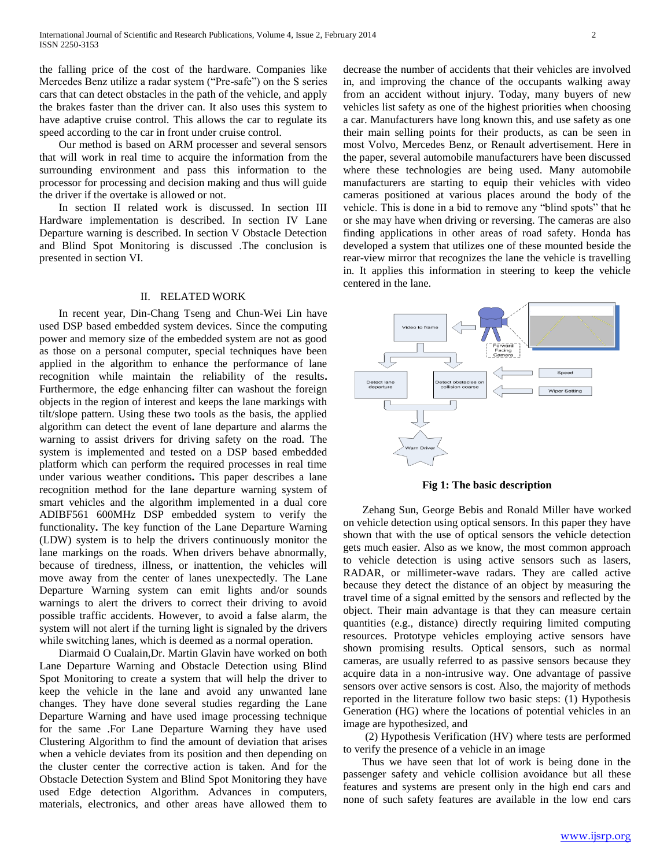the falling price of the cost of the hardware. Companies like Mercedes Benz utilize a radar system ("Pre-safe") on the S series cars that can detect obstacles in the path of the vehicle, and apply the brakes faster than the driver can. It also uses this system to have adaptive cruise control. This allows the car to regulate its speed according to the car in front under cruise control.

 Our method is based on ARM processer and several sensors that will work in real time to acquire the information from the surrounding environment and pass this information to the processor for processing and decision making and thus will guide the driver if the overtake is allowed or not.

 In section II related work is discussed. In section III Hardware implementation is described. In section IV Lane Departure warning is described. In section V Obstacle Detection and Blind Spot Monitoring is discussed .The conclusion is presented in section VI.

### II. RELATED WORK

 In recent year, Din-Chang Tseng and Chun-Wei Lin have used DSP based embedded system devices. Since the computing power and memory size of the embedded system are not as good as those on a personal computer, special techniques have been applied in the algorithm to enhance the performance of lane recognition while maintain the reliability of the results**.**  Furthermore, the edge enhancing filter can washout the foreign objects in the region of interest and keeps the lane markings with tilt/slope pattern. Using these two tools as the basis, the applied algorithm can detect the event of lane departure and alarms the warning to assist drivers for driving safety on the road. The system is implemented and tested on a DSP based embedded platform which can perform the required processes in real time under various weather conditions**.** This paper describes a lane recognition method for the lane departure warning system of smart vehicles and the algorithm implemented in a dual core ADIBF561 600MHz DSP embedded system to verify the functionality**.** The key function of the Lane Departure Warning (LDW) system is to help the drivers continuously monitor the lane markings on the roads. When drivers behave abnormally, because of tiredness, illness, or inattention, the vehicles will move away from the center of lanes unexpectedly. The Lane Departure Warning system can emit lights and/or sounds warnings to alert the drivers to correct their driving to avoid possible traffic accidents. However, to avoid a false alarm, the system will not alert if the turning light is signaled by the drivers while switching lanes, which is deemed as a normal operation.

 Diarmaid O Cualain,Dr. Martin Glavin have worked on both Lane Departure Warning and Obstacle Detection using Blind Spot Monitoring to create a system that will help the driver to keep the vehicle in the lane and avoid any unwanted lane changes. They have done several studies regarding the Lane Departure Warning and have used image processing technique for the same .For Lane Departure Warning they have used Clustering Algorithm to find the amount of deviation that arises when a vehicle deviates from its position and then depending on the cluster center the corrective action is taken. And for the Obstacle Detection System and Blind Spot Monitoring they have used Edge detection Algorithm. Advances in computers, materials, electronics, and other areas have allowed them to

decrease the number of accidents that their vehicles are involved in, and improving the chance of the occupants walking away from an accident without injury. Today, many buyers of new vehicles list safety as one of the highest priorities when choosing a car. Manufacturers have long known this, and use safety as one their main selling points for their products, as can be seen in most Volvo, Mercedes Benz, or Renault advertisement. Here in the paper, several automobile manufacturers have been discussed where these technologies are being used. Many automobile manufacturers are starting to equip their vehicles with video cameras positioned at various places around the body of the vehicle. This is done in a bid to remove any "blind spots" that he or she may have when driving or reversing. The cameras are also finding applications in other areas of road safety. Honda has developed a system that utilizes one of these mounted beside the rear-view mirror that recognizes the lane the vehicle is travelling in. It applies this information in steering to keep the vehicle centered in the lane.



**Fig 1: The basic description**

 Zehang Sun, George Bebis and Ronald Miller have worked on vehicle detection using optical sensors. In this paper they have shown that with the use of optical sensors the vehicle detection gets much easier. Also as we know, the most common approach to vehicle detection is using active sensors such as lasers, RADAR, or millimeter-wave radars. They are called active because they detect the distance of an object by measuring the travel time of a signal emitted by the sensors and reflected by the object. Their main advantage is that they can measure certain quantities (e.g., distance) directly requiring limited computing resources. Prototype vehicles employing active sensors have shown promising results. Optical sensors, such as normal cameras, are usually referred to as passive sensors because they acquire data in a non-intrusive way. One advantage of passive sensors over active sensors is cost. Also, the majority of methods reported in the literature follow two basic steps: (1) Hypothesis Generation (HG) where the locations of potential vehicles in an image are hypothesized, and

 (2) Hypothesis Verification (HV) where tests are performed to verify the presence of a vehicle in an image

 Thus we have seen that lot of work is being done in the passenger safety and vehicle collision avoidance but all these features and systems are present only in the high end cars and none of such safety features are available in the low end cars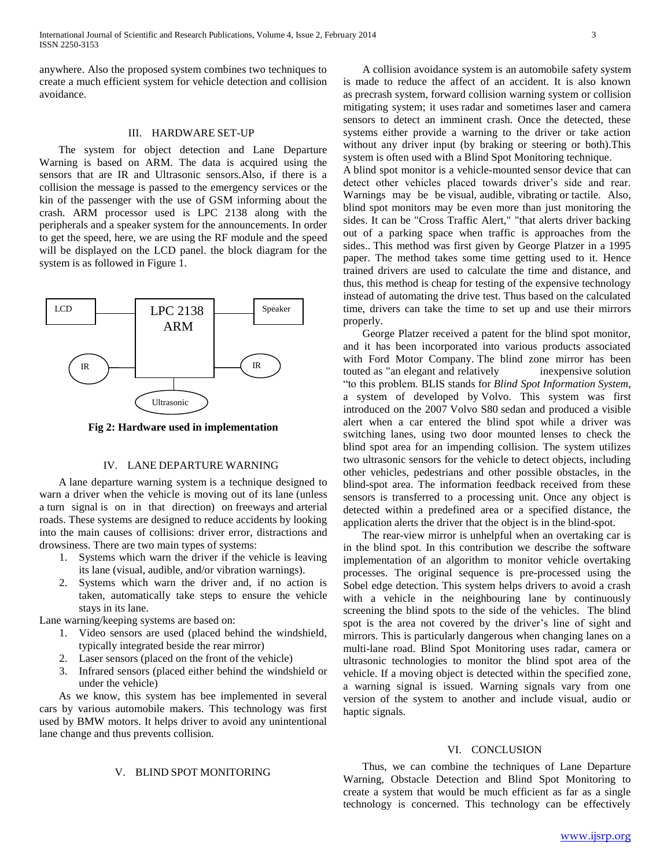anywhere. Also the proposed system combines two techniques to create a much efficient system for vehicle detection and collision avoidance.

## III. HARDWARE SET-UP

 The system for object detection and Lane Departure Warning is based on ARM. The data is acquired using the sensors that are IR and Ultrasonic sensors.Also, if there is a collision the message is passed to the emergency services or the kin of the passenger with the use of GSM informing about the crash. ARM processor used is LPC 2138 along with the peripherals and a speaker system for the announcements. In order to get the speed, here, we are using the RF module and the speed will be displayed on the LCD panel. the block diagram for the system is as followed in Figure 1.



**Fig 2: Hardware used in implementation**

#### IV. LANE DEPARTURE WARNING

 A lane departure warning system is a technique designed to warn a driver when the vehicle is moving out of its lane (unless a turn signal is on in that direction) on freeways and arterial roads. These systems are designed to reduce accidents by looking into the main causes of collisions: driver error, distractions and drowsiness. There are two main types of systems:

- 1. Systems which warn the driver if the vehicle is leaving its lane (visual, audible, and/or vibration warnings).
- 2. Systems which warn the driver and, if no action is taken, automatically take steps to ensure the vehicle stays in its lane.

Lane warning/keeping systems are based on:

- 1. Video sensors are used (placed behind the windshield, typically integrated beside the rear mirror)
- 2. Laser sensors (placed on the front of the vehicle)
- 3. Infrared sensors (placed either behind the windshield or under the vehicle)

 As we know, this system has bee implemented in several cars by various automobile makers. This technology was first used by BMW motors. It helps driver to avoid any unintentional lane change and thus prevents collision.

## V. BLIND SPOT MONITORING

 A collision avoidance system is an automobile safety system is made to reduce the affect of an accident. It is also known as precrash system, forward collision warning system or collision mitigating system; it uses radar and sometimes laser and camera sensors to detect an imminent crash. Once the detected, these systems either provide a warning to the driver or take action without any driver input (by braking or steering or both).This system is often used with a Blind Spot Monitoring technique.

A blind spot monitor is a vehicle-mounted sensor device that can detect other vehicles placed towards driver's side and rear. Warnings may be be visual, audible, vibrating or tactile. Also, blind spot monitors may be even more than just monitoring the sides. It can be "Cross Traffic Alert," "that alerts driver backing out of a parking space when traffic is approaches from the sides.. This method was first given by George Platzer in a 1995 paper. The method takes some time getting used to it. Hence trained drivers are used to calculate the time and distance, and thus, this method is cheap for testing of the expensive technology instead of automating the drive test. Thus based on the calculated time, drivers can take the time to set up and use their mirrors properly.

 George Platzer received a patent for the blind spot monitor, and it has been incorporated into various products associated with Ford Motor Company. The blind zone mirror has been touted as "an elegant and relatively inexpensive solution "to this problem. BLIS stands for *Blind Spot Information System*, a system of developed by Volvo. This system was first introduced on the 2007 Volvo S80 sedan and produced a visible alert when a car entered the blind spot while a driver was switching lanes, using two door mounted lenses to check the blind spot area for an impending collision. The system utilizes two ultrasonic sensors for the vehicle to detect objects, including other vehicles, pedestrians and other possible obstacles, in the blind-spot area. The information feedback received from these sensors is transferred to a processing unit. Once any object is detected within a predefined area or a specified distance, the application alerts the driver that the object is in the blind-spot.

 The rear-view mirror is unhelpful when an overtaking car is in the blind spot. In this contribution we describe the software implementation of an algorithm to monitor vehicle overtaking processes. The original sequence is pre-processed using the Sobel edge detection. This system helps drivers to avoid a crash with a vehicle in the neighbouring lane by continuously screening the blind spots to the side of the vehicles. The blind spot is the area not covered by the driver's line of sight and mirrors. This is particularly dangerous when changing lanes on a multi-lane road. Blind Spot Monitoring uses radar, camera or ultrasonic technologies to monitor the blind spot area of the vehicle. If a moving object is detected within the specified zone, a warning signal is issued. Warning signals vary from one version of the system to another and include visual, audio or haptic signals.

#### VI. CONCLUSION

 Thus, we can combine the techniques of Lane Departure Warning, Obstacle Detection and Blind Spot Monitoring to create a system that would be much efficient as far as a single technology is concerned. This technology can be effectively